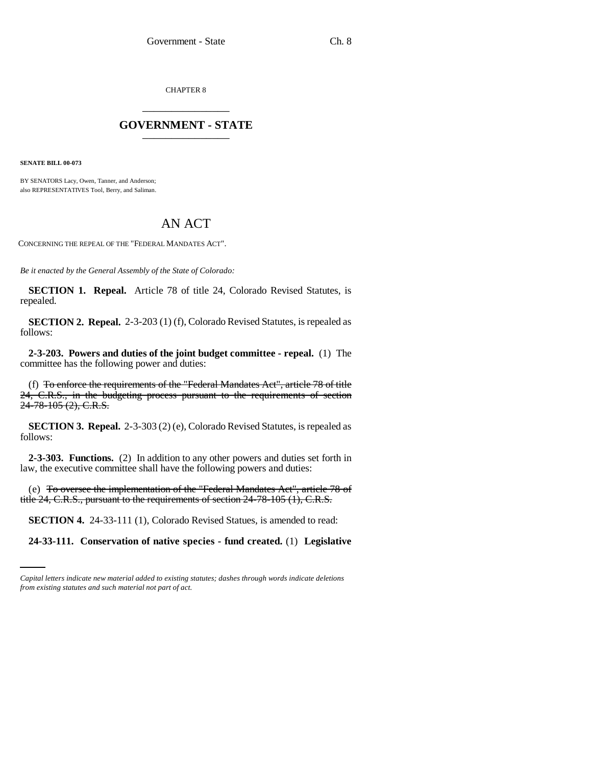CHAPTER 8 \_\_\_\_\_\_\_\_\_\_\_\_\_\_\_

## **GOVERNMENT - STATE** \_\_\_\_\_\_\_\_\_\_\_\_\_\_\_

**SENATE BILL 00-073** 

BY SENATORS Lacy, Owen, Tanner, and Anderson; also REPRESENTATIVES Tool, Berry, and Saliman.

## AN ACT

CONCERNING THE REPEAL OF THE "FEDERAL MANDATES ACT".

*Be it enacted by the General Assembly of the State of Colorado:*

**SECTION 1. Repeal.** Article 78 of title 24, Colorado Revised Statutes, is repealed.

**SECTION 2. Repeal.** 2-3-203 (1) (f), Colorado Revised Statutes, is repealed as follows:

**2-3-203. Powers and duties of the joint budget committee - repeal.** (1) The committee has the following power and duties:

(f) To enforce the requirements of the "Federal Mandates Act", article 78 of title 24, C.R.S., in the budgeting process pursuant to the requirements of section 24-78-105 (2), C.R.S.

**SECTION 3. Repeal.** 2-3-303 (2) (e), Colorado Revised Statutes, is repealed as follows:

**2-3-303. Functions.** (2) In addition to any other powers and duties set forth in law, the executive committee shall have the following powers and duties:

(e) To oversee the implementation of the "Federal Mandates Act", article 78 of title 24, C.R.S., pursuant to the requirements of section 24-78-105 (1), C.R.S.

 **SECTION 4.** 24-33-111 (1), Colorado Revised Statues, is amended to read:

**24-33-111. Conservation of native species - fund created.** (1) **Legislative**

*Capital letters indicate new material added to existing statutes; dashes through words indicate deletions from existing statutes and such material not part of act.*